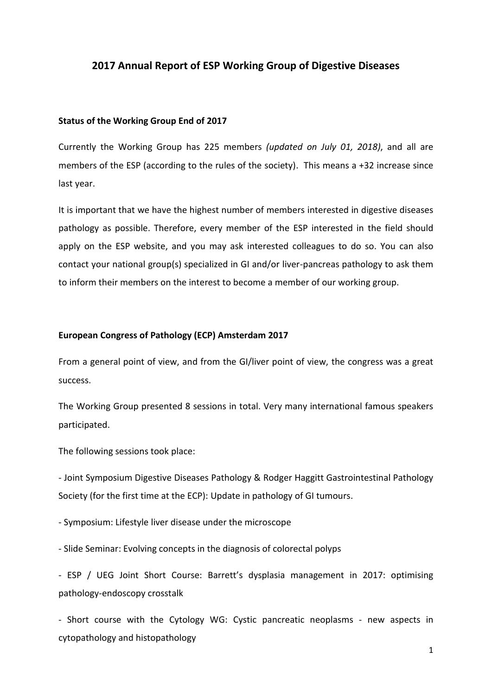# **2017 Annual Report of ESP Working Group of Digestive Diseases**

### **Status of the Working Group End of 2017**

Currently the Working Group has 225 members *(updated on July 01, 2018)*, and all are members of the ESP (according to the rules of the society). This means a +32 increase since last year.

It is important that we have the highest number of members interested in digestive diseases pathology as possible. Therefore, every member of the ESP interested in the field should apply on the ESP website, and you may ask interested colleagues to do so. You can also contact your national group(s) specialized in GI and/or liver-pancreas pathology to ask them to inform their members on the interest to become a member of our working group.

## **European Congress of Pathology (ECP) Amsterdam 2017**

From a general point of view, and from the GI/liver point of view, the congress was a great success.

The Working Group presented 8 sessions in total. Very many international famous speakers participated.

The following sessions took place:

- Joint Symposium Digestive Diseases Pathology & Rodger Haggitt Gastrointestinal Pathology Society (for the first time at the ECP): Update in pathology of GI tumours.

- Symposium: Lifestyle liver disease under the microscope

- Slide Seminar: Evolving concepts in the diagnosis of colorectal polyps

- ESP / UEG Joint Short Course: Barrett's dysplasia management in 2017: optimising pathology-endoscopy crosstalk

- Short course with the Cytology WG: Cystic pancreatic neoplasms - new aspects in cytopathology and histopathology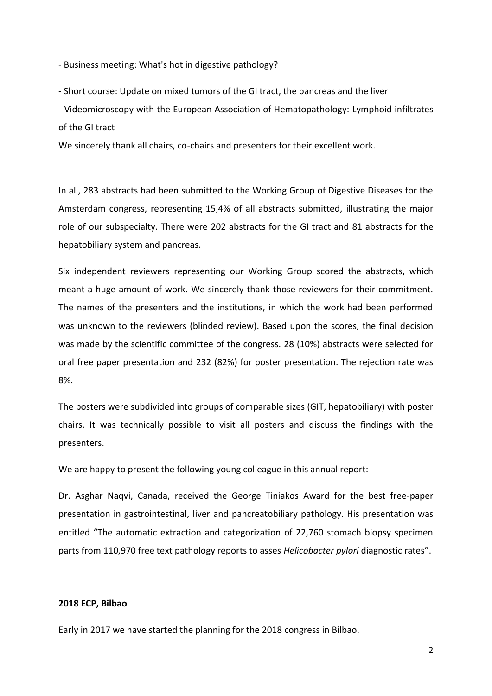- Business meeting: What's hot in digestive pathology?

- Short course: Update on mixed tumors of the GI tract, the pancreas and the liver

- Videomicroscopy with the European Association of Hematopathology: Lymphoid infiltrates of the GI tract

We sincerely thank all chairs, co-chairs and presenters for their excellent work.

In all, 283 abstracts had been submitted to the Working Group of Digestive Diseases for the Amsterdam congress, representing 15,4% of all abstracts submitted, illustrating the major role of our subspecialty. There were 202 abstracts for the GI tract and 81 abstracts for the hepatobiliary system and pancreas.

Six independent reviewers representing our Working Group scored the abstracts, which meant a huge amount of work. We sincerely thank those reviewers for their commitment. The names of the presenters and the institutions, in which the work had been performed was unknown to the reviewers (blinded review). Based upon the scores, the final decision was made by the scientific committee of the congress. 28 (10%) abstracts were selected for oral free paper presentation and 232 (82%) for poster presentation. The rejection rate was 8%.

The posters were subdivided into groups of comparable sizes (GIT, hepatobiliary) with poster chairs. It was technically possible to visit all posters and discuss the findings with the presenters.

We are happy to present the following young colleague in this annual report:

Dr. Asghar Naqvi, Canada, received the George Tiniakos Award for the best free-paper presentation in gastrointestinal, liver and pancreatobiliary pathology. His presentation was entitled "The automatic extraction and categorization of 22,760 stomach biopsy specimen parts from 110,970 free text pathology reports to asses *Helicobacter pylori* diagnostic rates".

## **2018 ECP, Bilbao**

Early in 2017 we have started the planning for the 2018 congress in Bilbao.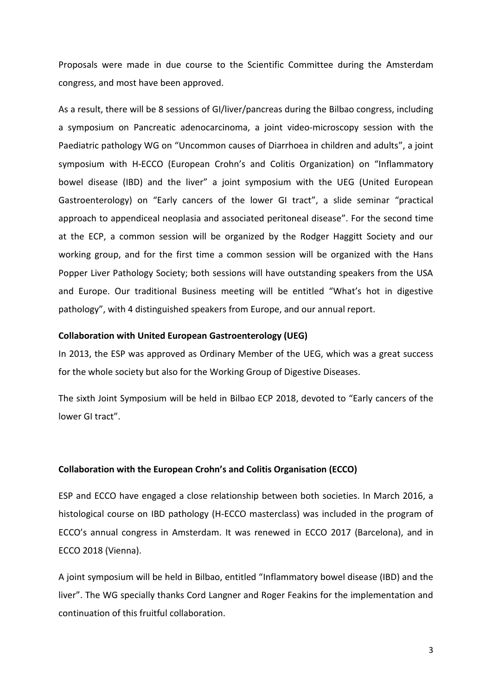Proposals were made in due course to the Scientific Committee during the Amsterdam congress, and most have been approved.

As a result, there will be 8 sessions of GI/liver/pancreas during the Bilbao congress, including a symposium on Pancreatic adenocarcinoma, a joint video-microscopy session with the Paediatric pathology WG on "Uncommon causes of Diarrhoea in children and adults", a joint symposium with H-ECCO (European Crohn's and Colitis Organization) on "Inflammatory bowel disease (IBD) and the liver" a joint symposium with the UEG (United European Gastroenterology) on "Early cancers of the lower GI tract", a slide seminar "practical approach to appendiceal neoplasia and associated peritoneal disease". For the second time at the ECP, a common session will be organized by the Rodger Haggitt Society and our working group, and for the first time a common session will be organized with the Hans Popper Liver Pathology Society; both sessions will have outstanding speakers from the USA and Europe. Our traditional Business meeting will be entitled "What's hot in digestive pathology", with 4 distinguished speakers from Europe, and our annual report.

### **Collaboration with United European Gastroenterology (UEG)**

In 2013, the ESP was approved as Ordinary Member of the UEG, which was a great success for the whole society but also for the Working Group of Digestive Diseases.

The sixth Joint Symposium will be held in Bilbao ECP 2018, devoted to "Early cancers of the lower GI tract".

## **Collaboration with the European Crohn's and Colitis Organisation (ECCO)**

ESP and ECCO have engaged a close relationship between both societies. In March 2016, a histological course on IBD pathology (H-ECCO masterclass) was included in the program of ECCO's annual congress in Amsterdam. It was renewed in ECCO 2017 (Barcelona), and in ECCO 2018 (Vienna).

A joint symposium will be held in Bilbao, entitled "Inflammatory bowel disease (IBD) and the liver". The WG specially thanks Cord Langner and Roger Feakins for the implementation and continuation of this fruitful collaboration.